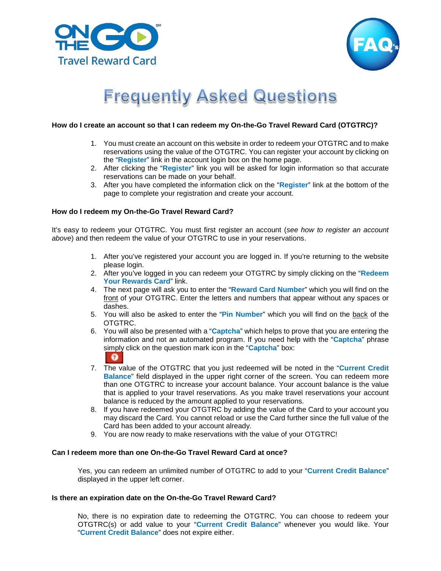



# **Frequently Asked Questions**

## **How do I create an account so that I can redeem my On-the-Go Travel Reward Card (OTGTRC)?**

- 1. You must create an account on this website in order to redeem your OTGTRC and to make reservations using the value of the OTGTRC. You can register your account by clicking on the "**Register**" link in the account login box on the home page.
- 2. After clicking the "**Register**" link you will be asked for login information so that accurate reservations can be made on your behalf.
- 3. After you have completed the information click on the "**Register**" link at the bottom of the page to complete your registration and create your account.

# **How do I redeem my On-the-Go Travel Reward Card?**

It's easy to redeem your OTGTRC. You must first register an account (*see how to register an account above*) and then redeem the value of your OTGTRC to use in your reservations.

- 1. After you've registered your account you are logged in. If you're returning to the website please login.
- 2. After you've logged in you can redeem your OTGTRC by simply clicking on the "**Redeem Your Rewards Card**" link.
- 4. The next page will ask you to enter the "**Reward Card Number**" which you will find on the front of your OTGTRC. Enter the letters and numbers that appear without any spaces or dashes.
- 5. You will also be asked to enter the "**Pin Number**" which you will find on the back of the OTGTRC.
- 6. You will also be presented with a "**Captcha**" which helps to prove that you are entering the information and not an automated program. If you need help with the "**Captcha**" phrase simply click on the question mark icon in the "**Captcha**" box:



- 7. The value of the OTGTRC that you just redeemed will be noted in the "**Current Credit Balance**" field displayed in the upper right corner of the screen. You can redeem more than one OTGTRC to increase your account balance. Your account balance is the value that is applied to your travel reservations. As you make travel reservations your account balance is reduced by the amount applied to your reservations.
- 8. If you have redeemed your OTGTRC by adding the value of the Card to your account you may discard the Card. You cannot reload or use the Card further since the full value of the Card has been added to your account already.
- 9. You are now ready to make reservations with the value of your OTGTRC!

# **Can I redeem more than one On-the-Go Travel Reward Card at once?**

Yes, you can redeem an unlimited number of OTGTRC to add to your "**Current Credit Balance**" displayed in the upper left corner.

## **Is there an expiration date on the On-the-Go Travel Reward Card?**

No, there is no expiration date to redeeming the OTGTRC. You can choose to redeem your OTGTRC(s) or add value to your "**Current Credit Balance**" whenever you would like. Your "**Current Credit Balance**" does not expire either.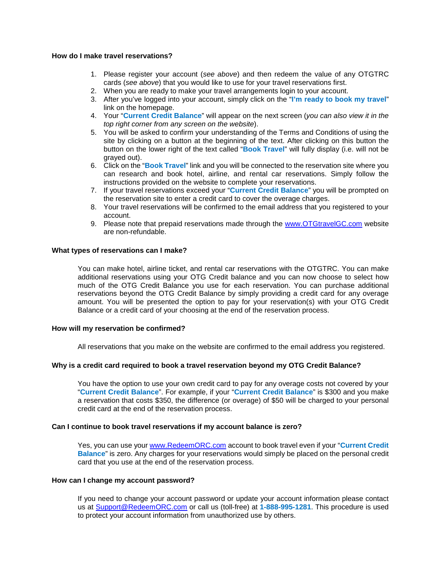# **How do I make travel reservations?**

- 1. Please register your account (*see above*) and then redeem the value of any OTGTRC cards (*see above*) that you would like to use for your travel reservations first.
- 2. When you are ready to make your travel arrangements login to your account.
- 3. After you've logged into your account, simply click on the "**I'm ready to book my travel**" link on the homepage.
- 4. Your "**Current Credit Balance**" will appear on the next screen (*you can also view it in the top right corner from any screen on the website*).
- 5. You will be asked to confirm your understanding of the Terms and Conditions of using the site by clicking on a button at the beginning of the text. After clicking on this button the button on the lower right of the text called "**Book Travel**" will fully display (i.e. will not be grayed out).
- 6. Click on the "**Book Travel**" link and you will be connected to the reservation site where you can research and book hotel, airline, and rental car reservations. Simply follow the instructions provided on the website to complete your reservations.
- 7. If your travel reservations exceed your "**Current Credit Balance**" you will be prompted on the reservation site to enter a credit card to cover the overage charges.
- 8. Your travel reservations will be confirmed to the email address that you registered to your account.
- 9. Please note that prepaid reservations made through the [www.OTGtravelGC.com](http://www.otgtravelgc.com/) website are non-refundable.

#### **What types of reservations can I make?**

You can make hotel, airline ticket, and rental car reservations with the OTGTRC. You can make additional reservations using your OTG Credit balance and you can now choose to select how much of the OTG Credit Balance you use for each reservation. You can purchase additional reservations beyond the OTG Credit Balance by simply providing a credit card for any overage amount. You will be presented the option to pay for your reservation(s) with your OTG Credit Balance or a credit card of your choosing at the end of the reservation process.

#### **How will my reservation be confirmed?**

All reservations that you make on the website are confirmed to the email address you registered.

## **Why is a credit card required to book a travel reservation beyond my OTG Credit Balance?**

You have the option to use your own credit card to pay for any overage costs not covered by your "**Current Credit Balance**". For example, if your "**Current Credit Balance**" is \$300 and you make a reservation that costs \$350, the difference (or overage) of \$50 will be charged to your personal credit card at the end of the reservation process.

#### **Can I continue to book travel reservations if my account balance is zero?**

Yes, you can use your [www.RedeemORC.com](http://www.redeemorc.com/) account to book travel even if your "**Current Credit Balance**" is zero. Any charges for your reservations would simply be placed on the personal credit card that you use at the end of the reservation process.

#### **How can I change my account password?**

If you need to change your account password or update your account information please contact us at [Support@RedeemORC.com](mailto:Support@RedeemORC.com) or call us (toll-free) at **1-888-995-1281**. This procedure is used to protect your account information from unauthorized use by others.